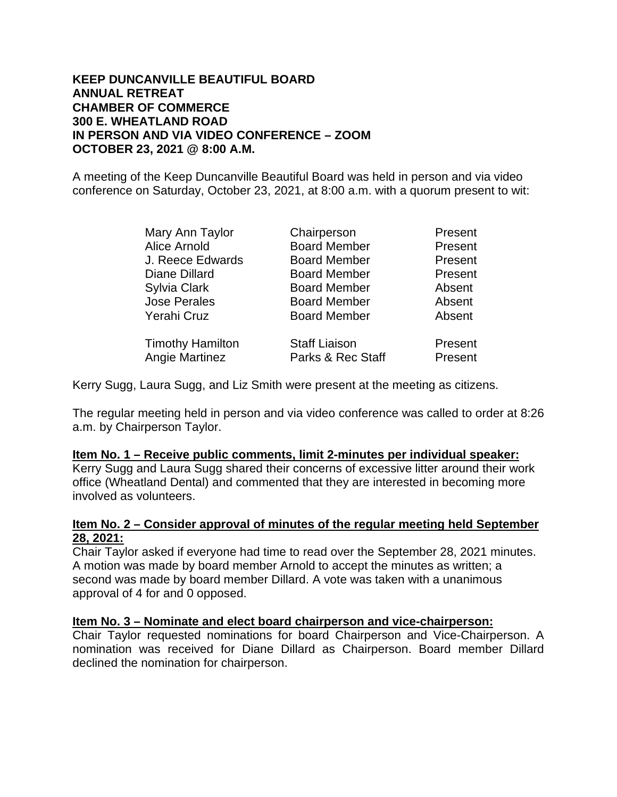## **KEEP DUNCANVILLE BEAUTIFUL BOARD ANNUAL RETREAT CHAMBER OF COMMERCE 300 E. WHEATLAND ROAD IN PERSON AND VIA VIDEO CONFERENCE – ZOOM OCTOBER 23, 2021 @ 8:00 A.M.**

A meeting of the Keep Duncanville Beautiful Board was held in person and via video conference on Saturday, October 23, 2021, at 8:00 a.m. with a quorum present to wit:

| Mary Ann Taylor         | Chairperson          | Present |
|-------------------------|----------------------|---------|
| Alice Arnold            | <b>Board Member</b>  | Present |
| J. Reece Edwards        | <b>Board Member</b>  | Present |
| Diane Dillard           | <b>Board Member</b>  | Present |
| Sylvia Clark            | <b>Board Member</b>  | Absent  |
| <b>Jose Perales</b>     | <b>Board Member</b>  | Absent  |
| Yerahi Cruz             | <b>Board Member</b>  | Absent  |
| <b>Timothy Hamilton</b> | <b>Staff Liaison</b> | Present |
| <b>Angie Martinez</b>   | Parks & Rec Staff    | Present |

Kerry Sugg, Laura Sugg, and Liz Smith were present at the meeting as citizens.

The regular meeting held in person and via video conference was called to order at 8:26 a.m. by Chairperson Taylor.

#### **Item No. 1 – Receive public comments, limit 2-minutes per individual speaker:**

Kerry Sugg and Laura Sugg shared their concerns of excessive litter around their work office (Wheatland Dental) and commented that they are interested in becoming more involved as volunteers.

#### **Item No. 2 – Consider approval of minutes of the regular meeting held September 28, 2021:**

Chair Taylor asked if everyone had time to read over the September 28, 2021 minutes. A motion was made by board member Arnold to accept the minutes as written; a second was made by board member Dillard. A vote was taken with a unanimous approval of 4 for and 0 opposed.

## **Item No. 3 – Nominate and elect board chairperson and vice-chairperson:**

Chair Taylor requested nominations for board Chairperson and Vice-Chairperson. A nomination was received for Diane Dillard as Chairperson. Board member Dillard declined the nomination for chairperson.